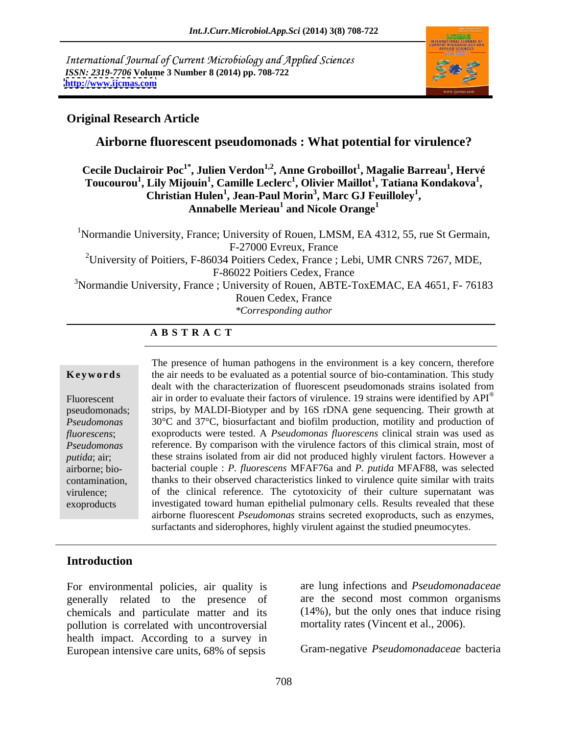International Journal of Current Microbiology and Applied Sciences *ISSN: 2319-7706* **Volume 3 Number 8 (2014) pp. 708-722 <http://www.ijcmas.com>**



#### **Original Research Article**

#### **Airborne fluorescent pseudomonads : What potential for virulence?**

 $\bf{C}$ ecile Duclairoir Poc $^{\bf{1}}$ \*, Julien Verdon $^{\bf{1,2}}$ , Anne Groboillot $^{\bf{1}}$ , Magalie Barreau $^{\bf{1}}$ , Hervé **, Hervé**   $T$ oucourou<sup>1</sup>, Lily Mijouin<sup>1</sup>, Camille Leclerc<sup>1</sup>, Olivier Maillot<sup>1</sup>, Tatiana Kondakova<sup>1</sup>, Christian Hulen<sup>1</sup>, Jean-Paul Morin<sup>3</sup>, Marc GJ Feuilloley<sup>1</sup>, Christian Hulen<sup>1</sup>, Jean-Paul Morin<sup>3</sup>, Marc GJ Feuilloley<sup>1</sup>, **, Marc GJ Feuilloley<sup>1</sup>** Annabelle Merieau<sup>1</sup> and Nicole Orange<sup>1</sup> **and Nicole Orange<sup>1</sup>**

<sup>1</sup>Normandie University, France; University of Rouen, LMSM, EA 4312, 55, rue St Germain, F-27000 Evreux, France <sup>2</sup>University of Poitiers, F-86034 Poitiers Cedex, France ; Lebi, UMR CNRS 7267, MDE, F-86022 Poitiers Cedex, France <sup>3</sup>Normandie University, France ; University of Rouen, ABTE-ToxEMAC, EA 4651, F-76183 Rouen Cedex, France *\*Corresponding author* 

## **A B S T R A C T**

**Keywords** the air needs to be evaluated as a potential source of bio-contamination. This study Fluorescent air in order to evaluate their factors of virulence. 19 strains were identified by API® pseudomonads; strips, by MALDI-Biotyper and by 16S rDNA gene sequencing. Their growth at *Pseudomonas*  30°C and 37°C, biosurfactant and biofilm production, motility and production of *fluorescens*; exoproducts were tested. A *Pseudomonas fluorescens* clinical strain was used as *Pseudomonas*  reference. By comparison with the virulence factors of this climical strain, most of *putida*; air; these strains isolated from air did not produced highly virulent factors. However a airborne; bio- bacterial couple : *P. fluorescens* MFAF76a and *P. putida* MFAF88, was selected contamination, thanks to their observed characteristics linked to virulence quite similar with traits virulence; of the clinical reference. The cytotoxicity of their culture supernatant was exoproducts investigated toward human epithelial pulmonary cells. Results revealed that these The presence of human pathogens in the environment is a key concern, therefore dealt with the characterization of fluorescent pseudomonads strains isolated from airborne fluorescent *Pseudomonas* strains secreted exoproducts, such as enzymes, surfactants and siderophores, highly virulent against the studied pneumocytes.

#### **Introduction**

For environmental policies, air quality is generally related to the presence of chemicals and particulate matter and its pollution is correlated with uncontroversial health impact. According to a survey in European intensive care units, 68% of sepsis

are lung infections and *Pseudomonadaceae*  are the second most common organisms (14%), but the only ones that induce rising mortality rates (Vincent et al., 2006).

Gram-negative *Pseudomonadaceae* bacteria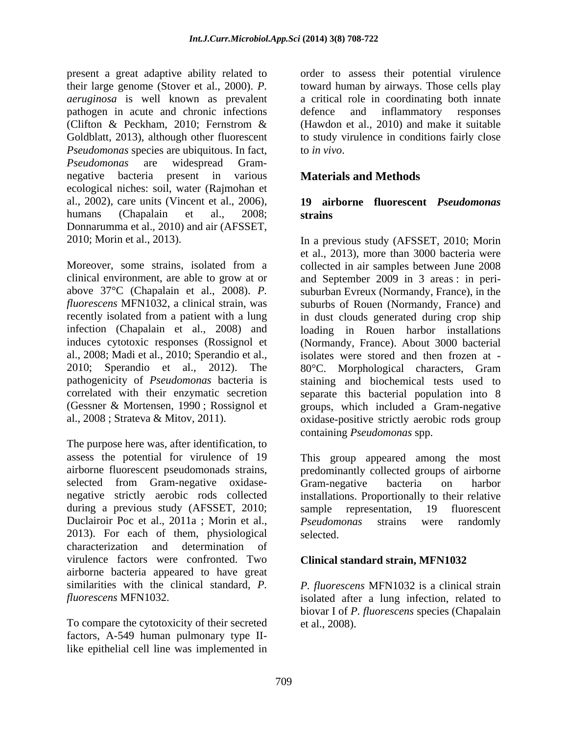present a great adaptive ability related to order to assess their potential virulence their large genome (Stover et al., 2000). *P.*  toward human by airways. Those cells play *aeruginosa* is well known as prevalent a critical role in coordinating both innate pathogen in acute and chronic infections (Clifton & Peckham, 2010; Fernstrom & (Hawdon et al., 2010) and make it suitable Goldblatt, 2013), although other fluorescent to study virulence in conditions fairly close *Pseudomonas* species are ubiquitous. In fact, *Pseudomonas* are widespread Gram negative bacteria present in various **Materials and Methods** ecological niches: soil, water (Rajmohan et al., 2002), care units (Vincent et al., 2006), humans (Chapalain et al., 2008; strains Donnarumma et al., 2010) and air (AFSSET,

al., 2008; Madi et al., 2010; Sperandio et al., 2010; Sperandio et al., 2012). The 80°C. Morphological characters, Gram

The purpose here was, after identification, to assess the potential for virulence of 19 This group appeared among the most airborne fluorescent pseudomonads strains, predominantly collected groups of airborne selected from Gram-negative oxidase- Gram-negative bacteria on harbor negative strictly aerobic rods collected installations. Proportionally to their relative during a previous study (AFSSET, 2010; sample representation, 19 fluorescent Duclairoir Poc et al., 2011a ; Morin et al., Pseudomonas strains were randomly 2013). For each of them, physiological characterization and determination of virulence factors were confronted. Two airborne bacteria appeared to have great similarities with the clinical standard*, P. P. fluorescens* MFN1032 is a clinical strain

To compare the cytotoxicity of their secreted factors, A-549 human pulmonary type IIlike epithelial cell line was implemented in

defence and inflammatory responses to *in vivo*.

## **Materials and Methods**

#### **19 airborne fluorescent** *Pseudomonas* **strains**

2010; Morin et al., 2013). In a previous study (AFSSET, 2010; Morin Moreover, some strains, isolated from a collected in air samples between June 2008 clinical environment, are able to grow at or and September 2009 in 3 areas : in peri above 37°C (Chapalain et al., 2008). *P.*  suburban Evreux (Normandy, France), in the *fluorescens* MFN1032, a clinical strain, was suburbs of Rouen (Normandy, France) and recently isolated from a patient with a lung in dust clouds generated during crop ship infection (Chapalain et al., 2008) and loading in Rouen harbor installations induces cytotoxic responses (Rossignol et (Normandy, France). About 3000 bacterial pathogenicity of *Pseudomonas* bacteria is staining and biochemical tests used to correlated with their enzymatic secretion separate this bacterial population into 8 (Gessner & Mortensen, 1990 ; Rossignol et groups, which included a Gram-negative al., 2008 ; Strateva & Mitov, 2011). oxidase-positive strictly aerobic rods group et al., 2013), more than 3000 bacteria were isolates were stored and then frozen at - 80°C. Morphological characters, Gram containing *Pseudomonas* spp.

> Gram-negative bacteria on harbor sample representation, 19 fluorescent *Pseudomonas* strains were randomly selected.

#### **Clinical standard strain, MFN1032**

*fluorescens* MFN1032. isolated after a lung infection, related to biovar I of *P. fluorescens* species (Chapalain et al., 2008).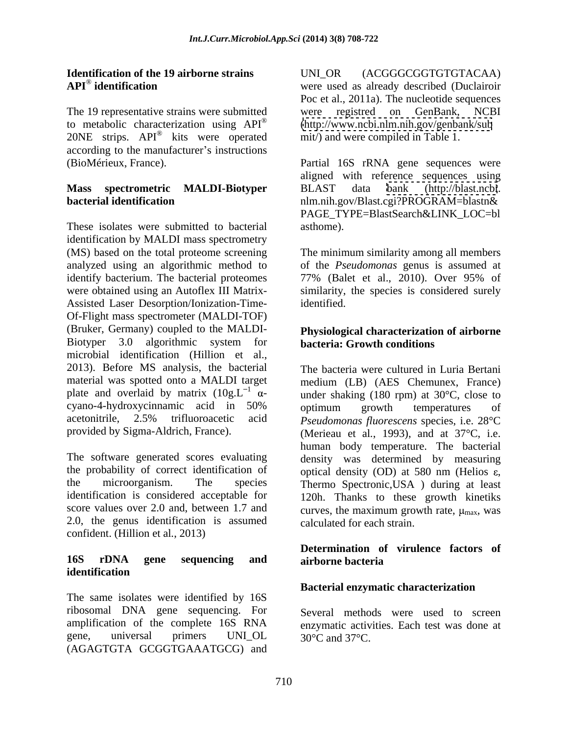The 19 representative strains were submitted were registred on GenBank, NCBI to metabolic characterization using  $API^®$  (http://www.ncbi.nlm.nih.gov/genbank/sub 20NE strips. API<sup>®</sup> kits were operated according to the manufacturer's instructions

# **Mass spectrometric MALDI-Biotyper**

These isolates were submitted to bacterial asthome). identification by MALDI mass spectrometry (MS) based on the total proteome screening The minimum similarity among all members analyzed using an algorithmic method to identify bacterium. The bacterial proteomes 77% (Balet et al., 2010). Over 95% of were obtained using an Autoflex III Matrix- similarity, the species is considered surely Assisted Laser Desorption/Ionization-Time- Of-Flight mass spectrometer (MALDI-TOF) (Bruker, Germany) coupled to the MALDI- **Physiological characterization of airborne** Biotyper 3.0 algorithmic system for microbial identification (Hillion et al., 2013). Before MS analysis, the bacterial material was spotted onto a MALDI target medium (LB) (AES Chemunex, France) plate and overlaid by matrix  $(10g.L^{-1} \alpha$ cyano-4-hydroxycinnamic acid in 50% acetonitrile, 2.5% trifluoroacetic acid *Pseudomonas fluorescens* species, i.e. 28°C provided by Sigma-Aldrich, France). (Merieau et al., 1993), and at 37°C, i.e.

The software generated scores evaluating the probability of correct identification of optical density (OD) at 580 nm (Helios  $\varepsilon$ , the microorganism. The species Thermo Spectronic,USA ) during at least identification is considered acceptable for 120h. Thanks to these growth kinetiks score values over 2.0 and, between 1.7 and curves, the maximum growth rate,  $\mu_{\text{max}}$ , was 2.0, the genus identification is assumed confident. (Hillion et al*.*, 2013)

## **identification**

The same isolates were identified by 16S ribosomal DNA gene sequencing. For amplification of the complete 16S RNA enzymatic activities. Each test was done at gene, universal primers UNL\_OL  $30^{\circ}$ C and  $37^{\circ}$ C. (AGAGTGTA GCGGTGAAATGCG) and

**Identification of the 19 airborne strains** UNI\_OR (ACGGGCGGTGTGTACAA)<br>API<sup>®</sup> identification were used as already described (Duclairoir **API**®  **identification** were used as already described (Duclairoir kits were operated mit/) and were compiled in Table 1. UNI\_OR (ACGGGCGGTGTGTACAA) Poc et al., 2011a). The nucleotide sequences registred on GenBank, [\(http://www.ncbi.nlm.nih.gov/genbank/sub](http://www.ncbi.nlm.nih.gov/genbank/sub)

(BioMérieux, France). Partial 16S rRNA gene sequences were **bacterial identification** nlm.nih.gov/Blast.cgi?PROGRAM=blastn& aligned with reference sequences using BLAST data bank [\(http://blast.ncbi](http://blast.ncbi). PAGE\_TYPE=BlastSearch&LINK\_LOC=bl asthome).

> of the *Pseudomonas* genus is assumed at 77% (Balet et al., 2010). Over 95% of identified.

# **bacteria: Growth conditions**

- under shaking (180 rpm) at 30°C, close to The bacteria were cultured in Luria Bertani optimum growth temperatures of (Merieau et al., 1993), and at 37°C, i.e.<br>human body temperature. The bacterial density was determined by measuring calculated for each strain.

#### **16S rDNA gene sequencing and Determination of virulence factors of airborne bacteria**

#### **Bacterial enzymatic characterization**

Several methods were used to screen 30°C and 37°C.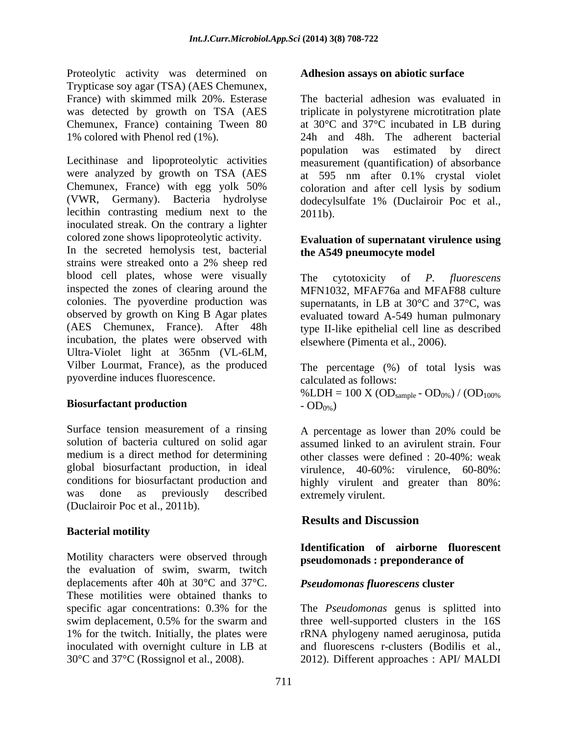Proteolytic activity was determined on Trypticase soy agar (TSA) (AES Chemunex, Chemunex, France) containing Tween 80

Lecithinase and lipoproteolytic activities measurement (quantification) of absorbance were analyzed by growth on TSA (AES at 595 nm after 0.1% crystal violet Chemunex, France) with egg yolk 50% coloration and after cell lysis by sodium (VWR, Germany). Bacteria hydrolyse dodecylsulfate 1% (Duclairoir Poc et al., lecithin contrasting medium next to the 2011b). inoculated streak. On the contrary a lighter colored zone shows lipoproteolytic activity.

In the secreted hemolysis test, bacterial strains were streaked onto a 2% sheep red blood cell plates, whose were visually The cytotoxicity of P. fluorescens inspected the zones of clearing around the MFN1032, MFAF76a and MFAF88 culture colonies. The pyoverdine production was observed by growth on King B Agar plates evaluated toward A-549 human pulmonary (AES Chemunex, France). After 48h type II-like epithelial cell line as described incubation, the plates were observed with Ultra-Violet light at 365nm (VL-6LM, Vilber Lourmat, France), as the produced pyoverdine induces fluorescence.

Surface tension measurement of a rinsing (Duclairoir Poc et al., 2011b).

#### **Bacterial motility**

Motility characters were observed through the evaluation of swim, swarm, twitch deplacements after 40h at 30°C and 37°C. These motilities were obtained thanks to specific agar concentrations: 0.3% for the The *Pseudomonas* genus is splitted into swim deplacement, 0.5% for the swarm and three well-supported clusters in the 16S 1% for the twitch. Initially, the plates were rRNA phylogeny named aeruginosa, putida inoculated with overnight culture in LB at 30°C and 37°C (Rossignol et al., 2008). 2012). Different approaches : API/ MALDI

#### **Adhesion assays on abiotic surface**

France) with skimmed milk 20%. Esterase The bacterial adhesion was evaluated in was detected by growth on TSA (AES triplicate in polystyrene microtitration plate 1% colored with Phenol red (1%). 24h and 48h. The adherent bacterial at 30°C and 37°C incubated in LB during population was estimated by direct 2011b).

#### **Evaluation of supernatant virulence using the A549 pneumocyte model**

The cytotoxicity of *P. fluorescens* supernatants, in LB at  $30^{\circ}$ C and  $37^{\circ}$ C, was elsewhere (Pimenta et al., 2006).

**Biosurfactant production**  $OD<sub>0%</sub>$ The percentage (%) of total lysis was calculated as follows:  $%LDH = 100 X (OD<sub>sample</sub> - OD<sub>0%</sub>) / (OD<sub>100%</sub>  
- OD<sub>0%</sub>)$ 

solution of bacteria cultured on solid agar assumed linked to an avirulent strain. Four medium is a direct method for determining other classes were defined : 20-40%: weak global biosurfactant production, in ideal virulence, 40-60%: virulence, 60-80%: conditions for biosurfactant production and highly virulent and greater than 80%: was done as previously described extremely virulent. A percentage as lower than 20% could be extremely virulent.

## **Results and Discussion**

#### **Identification of airborne fluorescent pseudomonads : preponderance of**

#### *Pseudomonas fluorescens* **cluster**

rRNA phylogeny named aeruginosa, putida and fluorescens r-clusters (Bodilis et al.,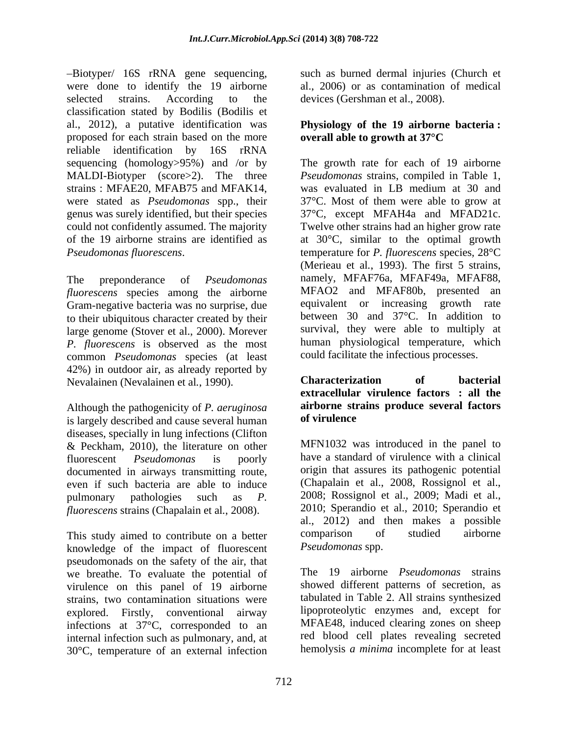Biotyper/ 16S rRNA gene sequencing, were done to identify the 19 airborne selected strains. According to the devices (Gershman et al., 2008). classification stated by Bodilis (Bodilis et al., 2012), a putative identification was proposed for each strain based on the more **overall able to growth at 37 °C** reliable identification by 16S rRNA

*fluorescens* species among the airborne MFAO2 and MFAF80b, presented an *Gram-negative* bacteria was no surprise due equivalent or increasing growth rate Gram-negative bacteria was no surprise, due to their ubiquitous character created by their large genome (Stover et al., 2000). Morever *P. fluorescens* is observed as the most common *Pseudomonas* species (at least 42%) in outdoor air, as already reported by<br>Nevalainen (Nevalainen et al. 1990). **Characterization** of bacterial Nevalainen (Nevalainen et al*.*, 1990).

Although the pathogenicity of *P. aeruginosa* **airborne str**<br>is largely described and cause several human **of virulence** is largely described and cause several human diseases, specially in lung infections (Clifton & Peckham, 2010), the literature on other documented in airways transmitting route, even if such bacteria are able to induce *fluorescens* strains (Chapalain et al*.*, 2008).

This study aimed to contribute on a better comparison of studied airborne knowledge of the impact of fluorescent pseudomonads on the safety of the air, that we breathe. To evaluate the potential of virulence on this panel of 19 airborne strains, two contamination situations were explored. Firstly, conventional airway infections at 37°C, corresponded to an internal infection such as pulmonary, and, at 30°C, temperature of an external infection

such as burned dermal injuries (Church et al., 2006) or as contamination of medical

## **Physiology of the 19 airborne bacteria : overall able to growth at 37°C**

sequencing (homology>95%) and /or by The growth rate for each of 19 airborne MALDI-Biotyper (score>2). The three *Pseudomonas* strains, compiled in Table 1, strains : MFAE20, MFAB75 and MFAK14, was evaluated in LB medium at 30 and were stated as *Pseudomonas* spp., their 37°C. Most of them were able to grow at genus was surely identified, but their species 37°C, except MFAH4a and MFAD21c. could not confidently assumed. The majority Twelve other strains had an higher grow rate of the 19 airborne strains are identified as at 30°C, similar to the optimal growth *Pseudomonas fluorescens*.<br>
The preponderance of *Pseudomonas* (Merieau et al., 1993). The first 5 strains,<br>
The preponderance of *Pseudomonas* namely, MFAF76a, MFAF49a, MFAF88, temperature for *P. fluorescens* species*,* 28°C (Merieau et al., 1993). The first 5 strains, namely, MFAF76a, MFAF49a, MFAF88, MFAO2 and MFAF80b, presented an equivalent or increasing between 30 and 37°C. In addition to survival, they were able to multiply at human physiological temperature, which could facilitate the infectious processes.

#### **Characterization of bacterial extracellular virulence factors : all the airborne strains produce several factors of virulence**

fluorescent *Pseudomonas* is poorly have a standard of virulence with a clinical pulmonary pathologies such as *P.*  2008; Rossignol et al., 2009; Madi et al., MFN1032 was introduced in the panel to origin that assures its pathogenic potential (Chapalain et al., 2008, Rossignol et al., 2010; Sperandio et al., 2010; Sperandio et al., 2012) and then makes a possible comparison of studied airborne *Pseudomonas* spp.

> The 19 airborne *Pseudomonas* strains showed different patterns of secretion, as tabulated in Table 2. All strains synthesized lipoproteolytic enzymes and, except for MFAE48, induced clearing zones on sheep red blood cell plates revealing secreted hemolysis *a minima* incomplete for at least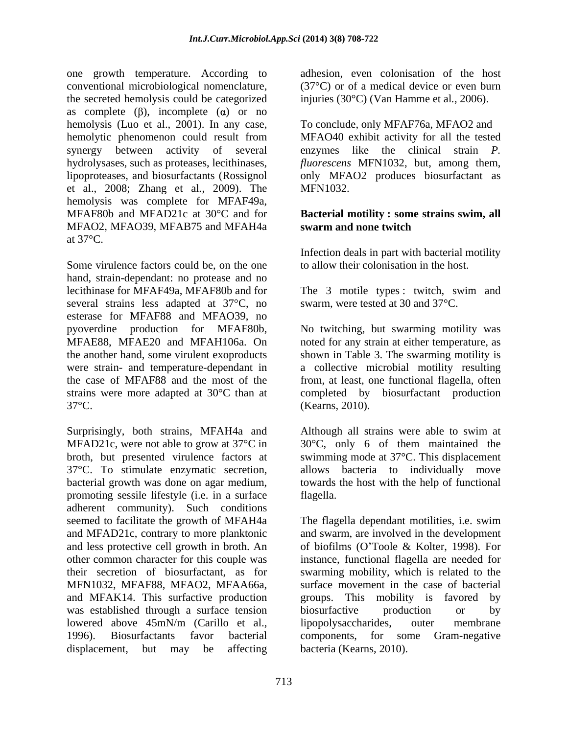one growth temperature. According to conventional microbiological nomenclature,  $(37^{\circ}C)$  or of a medical device or even burn<br>the secreted hemolysis could be categorized injuries  $(30^{\circ}C)$  (Van Hamme et al., 2006). as complete  $(\beta)$ , incomplete  $(\alpha)$  or no hemolysis (Luo et al., 2001). In any case, hemolytic phenomenon could result from MFAO40 exhibit activity for all the tested synergy between activity of several hydrolysases, such as proteases, lecithinases, *fluorescens* MFN1032, but, among them, lipoproteases, and biosurfactants (Rossignol only MFAO2 produces biosurfactant as et al., 2008; Zhang et al*.*, 2009). The hemolysis was complete for MFAF49a, MFAF80b and MFAD21c at 30°C and for **Bacterial motility : some strains swim, all** MFAO2, MFAO39, MFAB75 and MFAH4a at  $37^{\circ}\text{C}$ .

Some virulence factors could be, on the one hand, strain-dependant: no protease and no lecithinase for MFAF49a, MFAF80b and for The 3 motile types : twitch, swim and several strains less adapted at 37°C, no esterase for MFAF88 and MFAO39, no pyoverdine production for MFAF80b, No twitching, but swarming motility was MFAE88, MFAE20 and MFAH106a. On noted for any strain at either temperature, as the another hand, some virulent exoproducts shown in Table 3. The swarming motility is were strain- and temperature-dependant in a collective microbial motility resulting the case of MFAF88 and the most of the from, at least, one functional flagella, often strains were more adapted at 30°C than at completed by biosurfactant production 37°C. (Kearns, 2010).

Surprisingly, both strains, MFAH4a and MFAD21c, were not able to grow at 37<sup>o</sup>C in 30<sup>o</sup>C, only 6 of them maintained the broth, but presented virulence factors at swimming mode at 37°C. This displacement 37°C. To stimulate enzymatic secretion, bacterial growth was done on agar medium, towards the host with the help of functional promoting sessile lifestyle (i.e. in a surface adherent community). Such conditions and less protective cell growth in broth. An MFN1032, MFAF88, MFAO2, MFAA66a, and MFAK14. This surfactive production groups. This mobility is favored by was established through a surface tension biosurfactive production or by lowered above 45mN/m (Carillo et al., lipopolysaccharides, outer membrane

adhesion, even colonisation of the host (37°C) or of a medical device or even burn injuries (30°C) (Van Hamme et al*.*, 2006).

To conclude, only MFAF76a, MFAO2 and enzymes like the clinical strain *P.*  MFN1032.

# **swarm and none twitch**

Infection deals in part with bacterial motility to allow their colonisation in the host.

swarm, were tested at 30 and 37°C.

Although all strains were able to swim at allows bacteria to individually move flagella.

seemed to facilitate the growth of MFAH4a The flagella dependant motilities, i.e. swim and MFAD21c, contrary to more planktonic and swarm, are involved in the development other common character for this couple was instance, functional flagella are needed for their secretion of biosurfactant, as for swarming mobility, which is related to the 1996). Biosurfactants favor bacterial components, for some Gram-negative displacement, but may be affecting bacteria (Kearns, 2010). of biofilms (O Toole & Kolter, 1998). For surface movement in the case of bacterial groups. This mobility is favored biosurfactive production or by lipopolysaccharides, outer membrane bacteria (Kearns, 2010).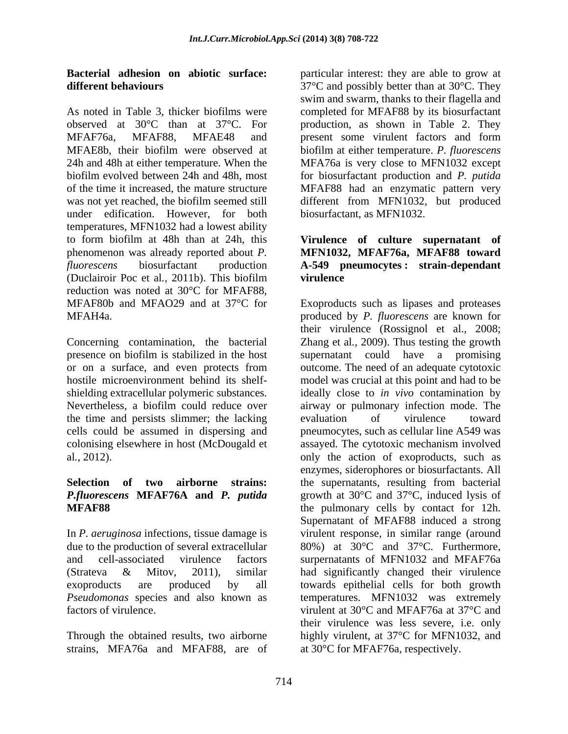As noted in Table 3, thicker biofilms were completed for MFAF88 by its biosurfactant observed at 30°C than at 37°C. For production, as shown in Table 2. They MFAF76a, MFAF88, MFAE48 and present some virulent factors and form MFAE8b, their biofilm were observed at biofilm at either temperature. *P. fluorescens* 24h and 48h at either temperature. When the MFA76a is very close to MFN1032 except biofilm evolved between 24h and 48h, most for biosurfactant production and *P. putida* of the time it increased, the mature structure MFAF88 had an enzymatic pattern very was not yet reached, the biofilm seemed still different from MFN1032, but produced under edification. However, for both temperatures, MFN1032 had a lowest ability to form biofilm at 48h than at 24h, this **Virulence of culture supernatant of** phenomenon was already reported about *P.*  **MFN1032, MFAF76a, MFAF88 toward** *fluorescens* biosurfactant production **A-549 pneumocytes : strain-dependant**  (Duclairoir Poc et al*.*, 2011b). This biofilm reduction was noted at 30°C for MFAF88, MFAF80b and MFAO29 and at 37°C for Exoproducts such as lipases and proteases

the time and persists slimmer; the lacking

In *P. aeruginosa* infections*,* tissue damage is *Pseudomonas* species and also known as

strains, MFA76a and MFAF88, are of

**Bacterial adhesion on abiotic surface:** particular interest: they are able to grow at **different behaviours** 37°C and possibly better than at 30°C. They swim and swarm, thanks to their flagella and biosurfactant, as MFN1032.

# **virulence**

MFAH4a. produced by *P. fluorescens* are known for Concerning contamination, the bacterial Zhang et al*.*, 2009). Thus testing the growth presence on biofilm is stabilized in the host supernatant could have a promising or on a surface, and even protects from outcome. The need of an adequate cytotoxic hostile microenvironment behind its shelf- model was crucial at this point and had to be shielding extracellular polymeric substances. ideally close to *in vivo* contamination by Nevertheless, a biofilm could reduce over airway or pulmonary infection mode. The cells could be assumed in dispersing and pneumocytes, such as cellular line A549 was colonising elsewhere in host (McDougald et assayed. The cytotoxic mechanism involved al*.*, 2012). only the action of exoproducts, such as **Selection of two airborne strains:** the supernatants, resulting from bacterial *P.fluorescens* **MFAF76A and** *P. putida* growth at 30°C and 37°C, induced lysis of **MFAF88** the pulmonary cells by contact for 12h. due to the production of several extracellular 80%) at 30°C and 37°C. Furthermore, and cell-associated virulence factors surpernatants of MFN1032 and MFAF76a (Strateva & Mitov, 2011), similar had significantly changed their virulence exoproducts are produced by all towards epithelial cells for both growth factors of virulence.  $\bullet$  virulent at 30°C and MFAF76a at 37°C and Through the obtained results, two airborne highly virulent, at 37°C for MFN1032, and their virulence (Rossignol et al., 2008; evaluation of virulence toward enzymes, siderophores or biosurfactants. All Supernatant of MFAF88 induced a strong virulent response, in similar range (around temperatures. MFN1032 was extremely their virulence was less severe, i.e. only at 30°C for MFAF76a, respectively.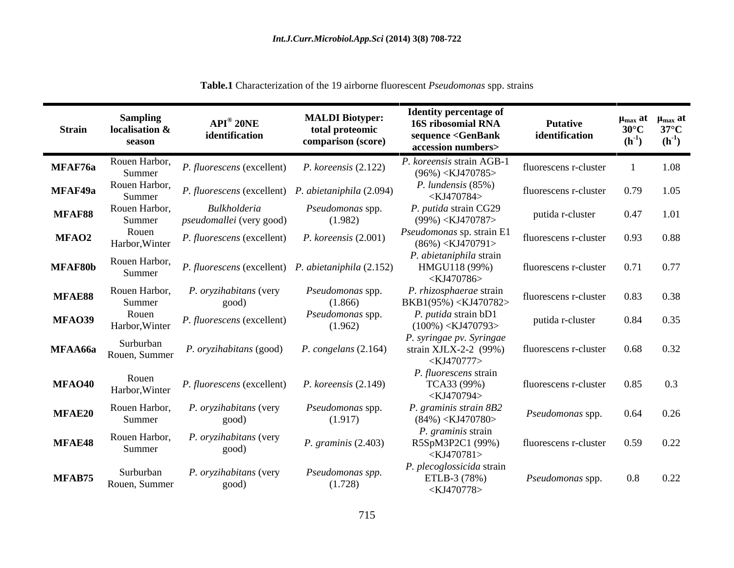| <b>Strain</b>  | <b>Sampling</b><br>localisation &<br>season | $API^{\circledR}$ 20NE<br>identification                      | <b>MALDI Biotyper:</b><br>total proteomic<br>comparison (score) | <b>Identity percentage of</b><br>16S ribosomial RNA<br>sequence <genbank<br>accession numbers&gt;</genbank<br> | <b>Putative</b><br>identification | $\mu_{\text{max}}$ at<br>$30^{\circ}$ C<br>$(h^{-1})$ | $\mu_{\text{max}}$ at<br>$37^{\circ}$ C<br>$(h^{-1})$ |
|----------------|---------------------------------------------|---------------------------------------------------------------|-----------------------------------------------------------------|----------------------------------------------------------------------------------------------------------------|-----------------------------------|-------------------------------------------------------|-------------------------------------------------------|
| MFAF76a        | Rouen Harbor,<br>Summer                     | <i>P. fluorescens</i> (excellent) <i>P. koreensis</i> (2.122) |                                                                 | P. koreensis strain AGB-1<br>$(96\%)$ <kj470785></kj470785>                                                    | fluorescens r-cluster             |                                                       | 1.08                                                  |
| MFAF49a        | Rouen Harbor,<br>Summer                     | P. fluorescens (excellent) P. abietaniphila (2.094)           |                                                                 | $P.$ lundensis $(85\%)$<br><kj470784></kj470784>                                                               | fluorescens r-cluster             | 0.79                                                  | 1.05                                                  |
| MFAF88         | Rouen Harbor,<br>Summer                     | Bulkholderia<br>pseudomallei (very good)                      | Pseudomonas spp.<br>(1.982)                                     | P. putida strain CG29<br>$(99\%) < KJ470787>$                                                                  | putida r-cluster                  | 0.47                                                  | 1.01                                                  |
| <b>MFAO2</b>   | Rouen<br>Harbor, Winter                     | <i>P. fluorescens</i> (excellent)                             | $P.$ koreensis $(2.001)$                                        | Pseudomonas sp. strain E1<br>$(86\%) < KJ470791>$                                                              | fluorescens r-cluster             | 0.93                                                  | 0.88                                                  |
| MFAF80b        | Rouen Harbor,<br>Summer                     | P. fluorescens (excellent) P. abietaniphila (2.152)           |                                                                 | P. abietaniphila strain<br>HMGU118 (99%)<br><kj470786></kj470786>                                              | fluorescens r-cluster             | 0.71                                                  | 0.77                                                  |
| MFAE88         | Rouen Harbor,<br>Summer                     | P. oryzihabitans (very<br>good)                               | <i>Pseudomonas</i> spp.<br>(1.866)                              | P. rhizosphaerae strain<br>BKB1(95%) <kj470782></kj470782>                                                     | fluorescens r-cluster             | 0.83                                                  | 0.38                                                  |
| MFAO39         | Rouen<br>Harbor, Winter                     | P. fluorescens (excellent)                                    | Pseudomonas spp.<br>(1.962)                                     | P. putida strain bD.<br>$(100\%) < KJ470793>$                                                                  | putida r-cluster                  | 0.84                                                  | 0.35                                                  |
| <b>MFAA66a</b> | Surburban<br>Rouen, Summer                  | P. oryzihabitans (good)                                       | P. congelans $(2.164)$                                          | P. syringae pv. Syringae<br>strain XJLX-2-2 $(99%)$<br>$<$ KJ470777>                                           | fluorescens r-cluster             | 0.68                                                  | 0.32                                                  |
| MFAO40         | Rouen<br>Harbor, Winter                     | <i>P. fluorescens</i> (excellent)                             | $P.$ koreensis $(2.149)$                                        | P. fluorescens strain<br>TCA33 (99%)<br><kj470794></kj470794>                                                  | fluorescens r-cluster             | 0.85                                                  | 0.3                                                   |
| MFAE20         | Rouen Harbor,<br>Summer                     | P. oryzihabitans (very<br>good)                               | Pseudomonas spp.<br>(1.917)                                     | P. graminis strain 8B2<br>$(84\%)$ <kj470780></kj470780>                                                       | Pseudomonas spp.                  | 0.64                                                  | 0.26                                                  |
| MFAE48         | Rouen Harbor,<br>Summer                     | P. oryzihabitans (very<br>good)                               | P. graminis (2.403)                                             | P. graminis strain<br>R5SpM3P2C1 (99%)<br>$\langle$ KJ470781>                                                  | fluorescens r-cluster             | 0.59                                                  | 0.22                                                  |
| MFAB75         | Surburban<br>Rouen, Summer                  | P. oryzihabitans (very<br>good)                               | Pseudomonas spp.<br>(1.728)                                     | P. plecoglossicida strain<br>ETLB-3 (78%)<br><kj470778></kj470778>                                             | Pseudomonas spp.                  | $0.8\,$                                               | 0.22                                                  |

**Table.1** Characterization of the 19 airborne fluorescent *Pseudomonas* spp. strains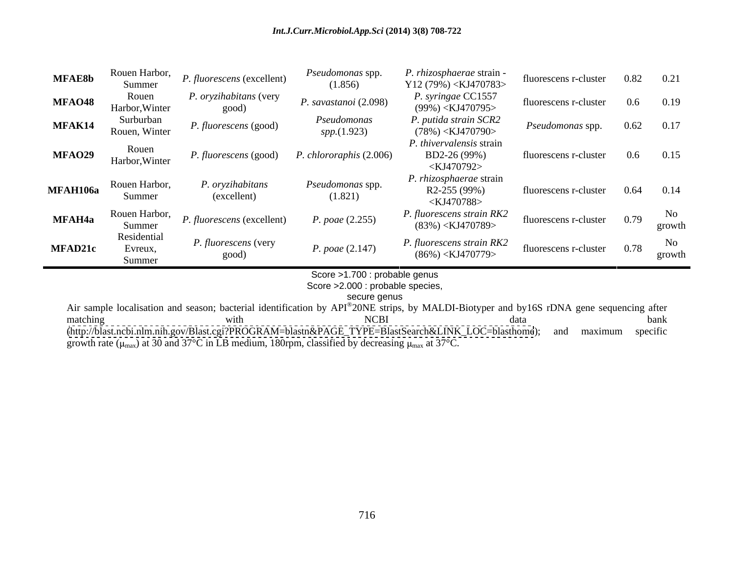#### *Int.J.Curr.Microbiol.App.Sci* **(2014) 3(8) 708-722**

| <b>MFAE8b</b>  | Rouen Harbor,<br>Summer          | P. fluorescens (excellent)      | <i>Pseudomonas</i> spp.<br>(1.856) | P. rhizosphaerae strain -<br>Y12 (79%) < $KJ470783>$              | fluorescens r-cluster         | 0.82 |              |
|----------------|----------------------------------|---------------------------------|------------------------------------|-------------------------------------------------------------------|-------------------------------|------|--------------|
| MFAO48         | Rouen<br>Harbor, Winter          | P. oryzihabitans (very<br>good) | P. savastanoi (2.098)              | P. syringae CC1557<br>$(99\%) <$ KJ470795>                        | fluorescens r-cluster         | 0.6  | 0.19         |
| MFAK14         | Surburban<br>Rouen, Winter       | P. fluorescens (good)           | Pseudomonas<br><i>spp.</i> (1.923) | P. putida strain SCR2<br>$(78\%) <$ KJ470790>                     | <i>Pseudomonas</i> spp.       | 0.62 | 0.17         |
| MFAO29         | Rouen<br>Harbor, Winter          | P. fluorescens (good)           | P. chlororaphis (2.006)            | P. thivervalensis strain<br>BD2-26 (99%)<br><kj470792></kj470792> | fluorescens r-cluster         | 0.6  | 0.15         |
| MFAH106a       | Rouen Harbor,<br>Summer          | P. oryzihabitans<br>(excellent) | Pseudomonas spp.<br>(1.821)        | P. rhizosphaerae strain<br>R2-255 (99%)<br><kj470788></kj470788>  | fluorescens r-cluster         | 0.64 | 0.14         |
| MFAH4a         | Rouen Harbor,<br>Summer          | P. fluorescens (excellent)      | P. poae $(2.255)$                  | P. fluorescens strain RK2<br>$(83\%)$ <kj470789></kj470789>       | fluorescens $r$ -cluster 0.79 |      | No<br>growth |
| <b>MFAD21c</b> | Residential<br>Evreux,<br>Summer | P. fluorescens (very<br>good)   | P. poae (2.147)                    | P. fluorescens strain RK2<br>$(86\%)$ <kj470779></kj470779>       | fluorescens r-cluster 0.78    |      | No<br>growth |

Score >1.700 : probable genus

Score >2.000 : probable species,<br>secure genus

secure genus and the security of the security of the security of the secure genus and the security of the security of the security of the security of the security of the security of the security of the security of the secu

Air sample localisation and season; bacterial identification by API® 20NE strips, by MALDI-Biotyper and by16S rDNA gene sequencing after matching with with NCBI data bank [\(http://blast.ncbi.nlm.nih.gov/Blast.cgi?PROGRAM=blastn&PAGE\\_TYPE=BlastSearch&LINK\\_LOC=blasthome](http://blast.ncbi.nlm.nih.gov/Blast.cgi?PROGRAM=blastn&PAGE_TYPE=BlastSearch&LINK_LOC=blasthome)); and maximum specific growth rate ( $\mu_{\text{max}}$ ) at 30 and 37°C in LB medium, 180rpm, classified by decreasing  $\mu_{\text{max}}$  at 37°C.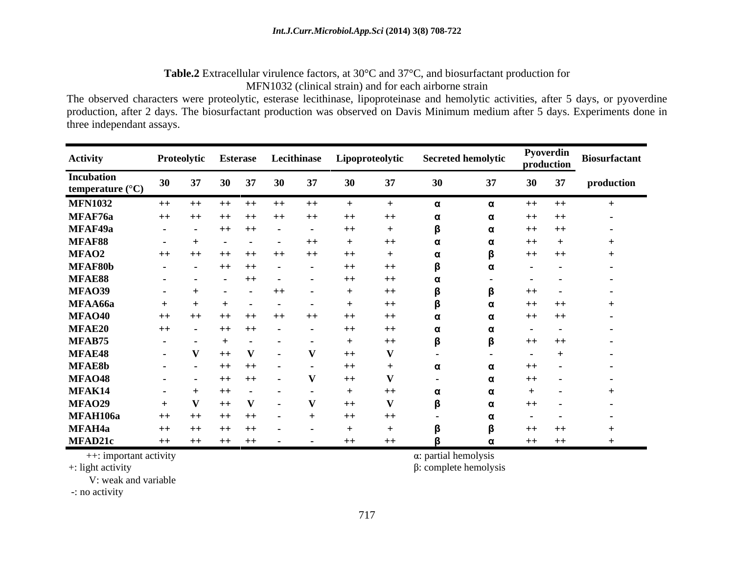#### **Table.2** Extracellular virulence factors, at 30°C and 37°C, and biosurfactant production for MFN1032 (clinical strain) and for each airborne strain

The observed characters were proteolytic, esterase lecithinase, lipoproteinase and hemolytic activities, after 5 days, or pyoverdine production, after 2 days. The biosurfactant production was observed on Davis Minimum medium after 5 days. Experiments done in three independant assays.

| Activity                                       |                          |                               | Proteolytic Esterase Lecithinase |                                             |                   | Lipoproteolytic  |             | <b>Secreted hemolytic</b> |      | Pyoverdin<br>production | <b>Biosurfactant</b> |
|------------------------------------------------|--------------------------|-------------------------------|----------------------------------|---------------------------------------------|-------------------|------------------|-------------|---------------------------|------|-------------------------|----------------------|
| <b>Incubation</b><br>temperature $(^{\circ}C)$ | 30                       | 37                            |                                  | 37<br>30                                    | 37                |                  |             |                           | 30   | 37                      | production           |
| <b>MFN1032</b>                                 |                          | $++$ $++$                     | $++$                             | $++$<br>$++$                                | $++$              |                  |             |                           | $++$ | $++$                    |                      |
| MFAF76a                                        | $++$                     | $++$                          | $++$                             | $++$<br>$++$                                | $++$              | $^{++}$          |             |                           | $++$ |                         |                      |
| MFAF49a                                        |                          | the company of the company of | $++$ $++$                        | $\sim 100$ m $^{-1}$                        | $\sim$ 100 $\sim$ | $++$             |             |                           | $++$ | - + +                   | $\sim$ $\sim$        |
| <b>MFAF88</b>                                  |                          | $ +$                          | $\sim$ 100 $\sim$                | and the state of the state of the           | $++$              |                  | $^{++}$     |                           | $++$ |                         |                      |
| <b>MFAO2</b>                                   | $++$                     | $++$                          | $++$                             | $++$<br>$++$                                | $++$              |                  |             |                           | $++$ | $++$                    |                      |
| MFAF80b                                        |                          | the company of the company of | ++ ++ -                          |                                             | $\sim$            | $^{\rm ++}$      | $^{\rm ++}$ |                           |      |                         |                      |
| MFAE88                                         |                          | the company of the company    | $\sim$                           | $++$<br>$\sim$                              |                   | $^{\mathrm{++}}$ | $^{++}$     |                           |      |                         |                      |
| <b>MFAO39</b>                                  | <b>Contract Contract</b> | $+$                           |                                  |                                             | $\sim$ $\sim$     |                  | $++$        |                           | $++$ | $\sim$                  | $\sim$               |
| MFAA66a                                        |                          |                               |                                  | $\sim$<br>$\sim$ $-$                        | $\sim$            |                  | $++$        |                           | $++$ |                         |                      |
| <b>MFAO40</b>                                  | $++$                     | $+ +$                         | $^{++}$                          | $++$<br>$++$                                | $++$              | $^{++}$          | $^{++}$     |                           | $++$ | - ++                    | - -                  |
| <b>MFAE20</b>                                  | $++$                     |                               | $++$                             | $++$<br><b>Contract Contract</b>            | $\sim$ 100 $\pm$  | $++$             | $++$        |                           |      |                         | . —                  |
| MFAB75                                         |                          | the company of the company    |                                  | <b>Contract</b><br><b>Contract Contract</b> | - -               |                  | $^{++}$     |                           | $++$ | $++$                    | $\sim$ $\sim$        |
| <b>MFAE48</b>                                  | <b>Contract Contract</b> |                               | $++$                             | $\sim$ 100 $\pm$                            |                   | $++$             |             |                           |      |                         |                      |
| <b>MFAE8b</b>                                  |                          | the company of the company    | $++$                             | $++$<br><b>Service</b>                      |                   | $^{++}$          |             |                           | $++$ |                         |                      |
| <b>MFAO48</b>                                  |                          | the company of the company    | $++$                             | $++$<br><b>Contract Contract</b>            |                   | $++$             |             |                           | $++$ | - -                     | $\sim$               |
| MFAK14                                         |                          | $ +$                          | $++$                             | $\sim$                                      |                   |                  |             |                           |      |                         |                      |
| MFAO29                                         |                          |                               | $++$                             |                                             |                   | $^{++}$          |             |                           | $++$ |                         |                      |
| <b>MFAH106a</b>                                | $++$                     |                               |                                  |                                             |                   |                  |             |                           |      |                         |                      |
| <b>MFAH4a</b>                                  | $++$                     |                               | $^{++}$                          | $++$<br>$\sim$                              |                   |                  |             |                           | $++$ | $++$                    |                      |
| <b>MFAD21c</b>                                 | $++$                     | $^{++}$                       | $++$                             | $++$<br><b>Contract Contract</b>            | <b>Service</b>    | $++$             | $++$        |                           |      | $++$ $++$               |                      |

++: important activity  $\alpha$ : partial hemolysis

+: light activity is a complete hemolysis β: complete hemolysis β: complete hemolysis

V: weak and variable

-: no activity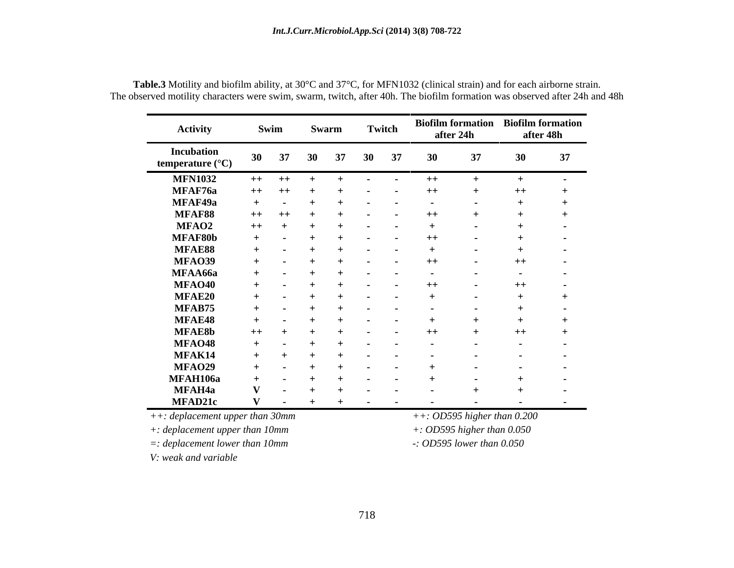| <b>Activity</b>                                | Swim            |                          | Swarm                                                     |                          | Twitch |                                   | <b>Biofilm formation</b> Biofilm formation<br>after 24h | after 48h        |                          |
|------------------------------------------------|-----------------|--------------------------|-----------------------------------------------------------|--------------------------|--------|-----------------------------------|---------------------------------------------------------|------------------|--------------------------|
| <b>Incubation</b><br>temperature $(^{\circ}C)$ | 37<br><b>30</b> |                          | 37<br>30                                                  | <b>30</b>                | -37    |                                   |                                                         |                  | -37                      |
| <b>MFN1032</b>                                 |                 |                          | ++ ++ + + - - ++                                          |                          |        |                                   |                                                         |                  |                          |
| MFAF76a                                        |                 |                          | ++ ++ + + - -                                             |                          |        | $++$                              |                                                         | $^{++}$          |                          |
| MFAF49a                                        |                 |                          | $+ \qquad - \qquad + \qquad + \qquad - \qquad - \qquad -$ |                          |        |                                   |                                                         |                  |                          |
| <b>MFAF88</b>                                  |                 |                          | $++\quad +\quad +\quad +\quad +\quad -\quad -$            |                          |        | $++$                              |                                                         |                  |                          |
| <b>MFAO2</b>                                   |                 |                          | $++++++++------$                                          |                          |        | $+$                               |                                                         |                  | $\sim$                   |
| MFAF80b                                        |                 |                          |                                                           |                          |        | $++$                              | <b>Contract Contract</b>                                |                  | $\sim$ $\sim$            |
| MFAE88                                         |                 |                          | $+$ $ +$ $+$ $ -$                                         |                          |        | $+$                               | $\sim$                                                  |                  | $\sim$ $\sim$            |
| MFAO39                                         |                 |                          |                                                           |                          |        |                                   | $\sim$ $\sim$ $\sim$                                    | $++$             | <b>Contract Contract</b> |
| MFAA66a                                        |                 |                          | $+$ $+$ $+$ $  -$                                         |                          |        |                                   | <b>Service</b>                                          | $\sim$ $\sim$    | <b>Service Contracts</b> |
| MFAO40                                         |                 |                          | + - + + - - ++                                            |                          |        |                                   | <b>Service</b> State                                    | $++$             | <b>Contract Contract</b> |
| <b>MFAE20</b>                                  |                 |                          | $+$ $+$ $+$ $ -$                                          |                          |        | $+$                               | $\sim$                                                  |                  |                          |
| MFAB75                                         |                 |                          | $+$ $+$ $+$ $+$ $ -$                                      |                          |        |                                   | $\sim$ $\sim$                                           |                  | $\sim$ $\sim$            |
| MFAE48                                         |                 |                          | $+$ $+$ $+$ $ -$                                          |                          |        | <u>+</u>                          |                                                         |                  |                          |
| <b>MFAE8b</b>                                  |                 |                          | $++$ $+$ $+$ $+$ $ -$                                     |                          |        | $++$                              |                                                         | $++$             |                          |
| MFAO48                                         |                 |                          | $+$ $+$ $+$ $  -$                                         |                          |        |                                   |                                                         | $\sim$ 100 $\mu$ | <b>Service</b>           |
| MFAK14                                         |                 |                          | $+$ $+$ $+$ $+$ $ -$                                      |                          |        | <b>Contract Contract State</b>    |                                                         | $\sim$           | <b>Service</b>           |
| MFAO29                                         |                 |                          | $+$ $ +$ $+$ $ -$                                         |                          |        | $+$                               |                                                         | $\sim$           | <b>Service Contracts</b> |
| <b>MFAH106a</b>                                |                 | <b>Contract Contract</b> | $+$<br>$+$                                                | <b>Contract Contract</b> |        |                                   |                                                         |                  | $\sim$ 100 $\pm$         |
| MFAH4a                                         |                 |                          | $ +$ $+$ $ -$                                             |                          |        | <b>Contract Contract</b>          |                                                         |                  | $\sim$                   |
| <b>MFAD21c</b>                                 |                 |                          |                                                           |                          |        | <b>Contract Contract Contract</b> | <b>Contract Contract Contract</b>                       | $\sim$ 100 $\mu$ | $\sim$ $\sim$            |

**Table.3** Motility and biofilm ability, at 30°C and 37°C, for MFN1032 (clinical strain) and for each airborne strain. The observed motility characters were swim, swarm, twitch, after 40h. The biofilm formation was observed after 24h and 48h

*++: deplacement upper than 30mm ++: OD595 higher than 0.200*

*+: deplacement upper than 10mm +: OD595 higher than 0.050*

*=: deplacement lower than 10mm -: OD595 lower than 0.050*

*V: weak and variable*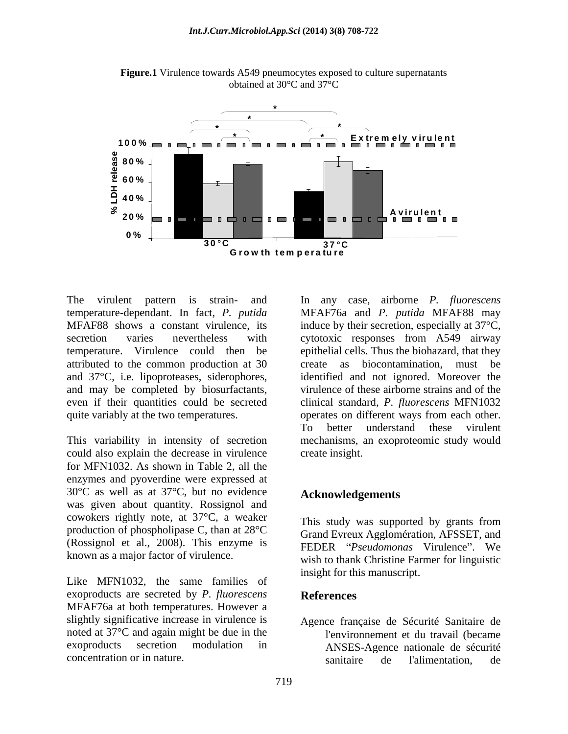

**Figure.1** Virulence towards A549 pneumocytes exposed to culture supernatants obtained at 30°C and 37°C

temperature-dependant. In fact, *P. putida* and 37°C, i.e. lipoproteases, siderophores, and may be completed by biosurfactants,

could also explain the decrease in virulence for MFN1032. As shown in Table 2, all the enzymes and pyoverdine were expressed at 30°C as well as at 37°C, but no evidence **Acknowledgements** was given about quantity. Rossignol and cowokers rightly note, at 37°C, a weaker production of phospholipase C, than at 28°C (Rossignol et al., 2008). This enzyme is known as a major factor of virulence.

Like MFN1032, the same families of exoproducts are secreted by *P. fluorescens* MFAF76a at both temperatures. However a slightly significative increase in virulence is noted at 37°C and again might be due in the exoproducts secretion modulation in ANSES-Agence nationale de sécurité

The virulent pattern is strain- and In any case, airborne *P. fluorescens* MFAF88 shows a constant virulence, its induce by their secretion, especially at 37°C, secretion varies nevertheless with cytotoxic responses from A549 airway temperature. Virulence could then be epithelial cells. Thus the biohazard, that they attributed to the common production at 30 create as biocontamination, must be even if their quantities could be secreted clinical standard, *P. fluorescens* MFN1032 quite variably at the two temperatures. operates on different ways from each other. This variability in intensity of secretion mechanisms, an exoproteomic study would MFAF76a and *P. putida* MFAF88 may identified and not ignored. Moreover the virulence of these airborne strains and of the To better understand these virulent create insight.

## **Acknowledgements**

This study was supported by grants from Grand Evreux Agglomération, AFSSET, and FEDER *"Pseudomonas* Virulence". We wish to thank Christine Farmer for linguistic insight for this manuscript.

#### **References**

concentration or in nature. Sanitaire de l'alimentation, de Agence française de Sécurité Sanitaire de l'environnement et du travail (became sanitaire de l'alimentation, de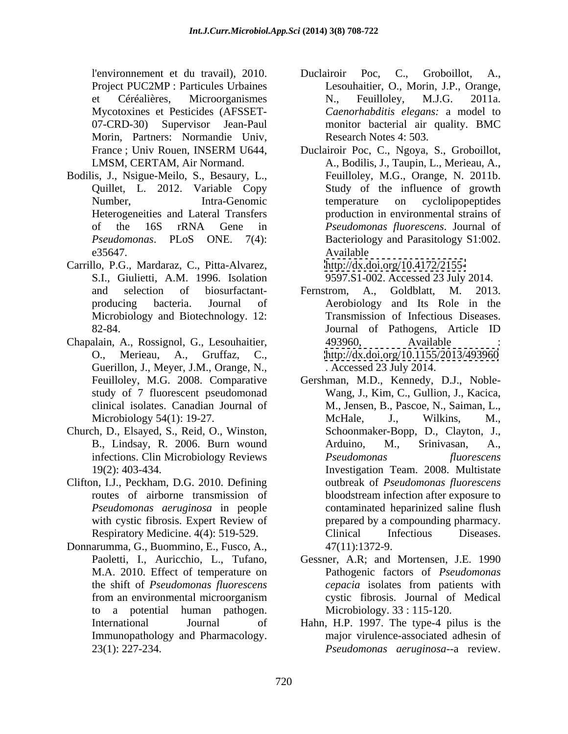Morin, Partners: Normandie Univ,

- Bodilis, J., Nsigue-Meilo, S., Besaury, L., Heterogeneities and Lateral Transfers
- Carrillo, P.G., Mardaraz, C., Pitta-Alvarez, S.I., Giulietti, A.M. 1996. Isolation Microbiology and Biotechnology. 12:
- Chapalain, A., Rossignol, G., Lesouhaitier, Guerillon, J., Meyer, J.M., Orange, N., clinical isolates. Canadian Journal of
- Church, D., Elsayed, S., Reid, O., Winston,
- Clifton, I.J., Peckham, D.G. 2010. Defining
- Donnarumma, G., Buommino, E., Fusco, A., to a potential human pathogen. Immunopathology and Pharmacology. 23(1): 227-234. *Pseudomonas aeruginosa*--a review.
- l'environnement et du travail), 2010. Project PUC2MP : Particules Urbaines Lesouhaitier, O., Morin, J.P., Orange, et Céréalières, Microorganismes Mycotoxines et Pesticides (AFSSET- *Caenorhabditis elegans:* a model to 07-CRD-30) Supervisor Jean-Paul monitor bacterial air quality. BMC Duclairoir Poc, C., Groboillot, A., N., Feuilloley, M.J.G. 2011a. Research Notes 4: 503.
- France ; Univ Rouen, INSERM U644, Duclairoir Poc, C., Ngoya, S., Groboillot, LMSM, CERTAM, Air Normand. A., Bodilis, J., Taupin, L., Merieau, A., Quillet, L. 2012. Variable Copy Study of the influence of growth Number, Intra-Genomic temperature on cyclolipopeptides of the 16S rRNA Gene in *Pseudomonas fluorescens*. Journal of Pseudomonas. PLoS ONE. 7(4): Bacteriology and Parasitology S1:002. e35647. Feuilloley, M.G., Orange, N. 2011b. temperature on cyclolipopeptides production in environmental strains of *Pseudomonas fluorescens*. Journal of Available **Available** <http://dx.doi.org/10.4172/2155->

9597.S1-002. Accessed 23 July 2014.

- and selection of biosurfactant-<br>Fernstrom, A., Goldblatt, M. 2013. producing bacteria. Journal of Aerobiology and Its Role in the 82-84. Journal of Pathogens, Article ID O., Merieau, A., Gruffaz, C., <http://dx.doi.org/10.1155/2013/493960> Fernstrom, A., Goldblatt, M. 2013. Transmission of Infectious Diseases. Journal of Pathogens, Article ID 493960, Available : . Accessed 23 July 2014.
- Feuilloley, M.G. 2008. Comparative Gershman, M.D., Kennedy, D.J., Noble study of 7 fluorescent pseudomonad Wang, J., Kim, C., Gullion, J., Kacica, Microbiology 54(1): 19-27. McHale, J., Wilkins, M., B., Lindsay, R. 2006. Burn wound Arduino, M., Srinivasan, A., infections. Clin Microbiology Reviews Pseudomonas fluorescens 19(2): 403-434. Investigation Team. 2008. Multistate routes of airborne transmission of bloodstream infection after exposure to *Pseudomonas aeruginosa* in people contaminated heparinized saline flush with cystic fibrosis. Expert Review of prepared by a compounding pharmacy. Respiratory Medicine. 4(4): 519-529. Clinical Infectious Diseases. M., Jensen, B., Pascoe, N., Saiman, L., McHale, J., Wilkins, M., Schoonmaker-Bopp, D., Clayton, J., Arduino, M., Srinivasan, A., *Pseudomonas fluorescens* outbreak of *Pseudomonas fluorescens* Clinical Infectious Diseases. 47(11):1372-9.
- Paoletti, I., Auricchio, L., Tufano, Gessner, A.R; and Mortensen, J.E. 1990 M.A. 2010. Effect of temperature on Pathogenic factors of *Pseudomonas*  the shift of *Pseudomonas fluorescens* from an environmental microorganism *cepacia* isolates from patients with cystic fibrosis. Journal of Medical Microbiology. 33 : 115-120.
- International Journal of Hahn, H.P. 1997. The type-4 pilus is the major virulence-associated adhesin of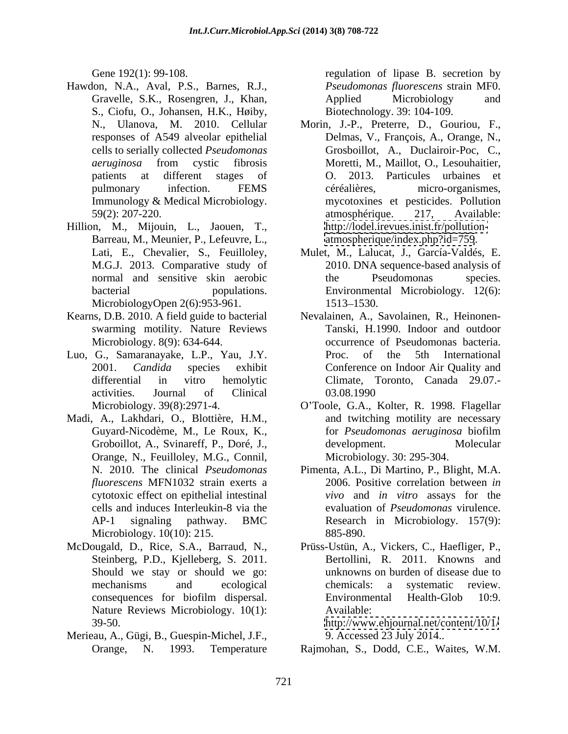- Hawdon, N.A., Aval, P.S., Barnes, R.J., Gravelle, S.K., Rosengren, J., Khan, S., Ciofu, O., Johansen, H.K., Høiby, Immunology & Medical Microbiology.
- Hillion, M., Mijouin, L., Jaouen, T., Barreau, M., Meunier, P., Lefeuvre, L., MicrobiologyOpen 2(6):953-961. 1513-1530.
- swarming motility. Nature Reviews
- Luo, G., Samaranayake, L.P., Yau, J.Y.
- Madi, A., Lakhdari, O., Blottière, H.M., Orange, N., Feuilloley, M.G., Connil, cytotoxic effect on epithelial intestinal Microbiology. 10(10): 215. 885-890.
- McDougald, D., Rice, S.A., Barraud, N., Prüss-Ustün, A., Vickers, C., Haefliger, P., Steinberg, P.D., Kjelleberg, S. 2011. Should we stay or should we go: Nature Reviews Microbiology. 10(1): Available: 39-50. <http://www.ehjournal.net/content/10/1/>
- Merieau, A., Gügi, B., Guespin-Michel, J.F.,

Gene 192(1): 99-108. The regulation of lipase B. secretion by *Pseudomonas fluorescens* strain MF0. Applied Microbiology and Biotechnology. 39: 104-109.

- N., Ulanova, M. 2010. Cellular Morin, J.-P., Preterre, D., Gouriou, F., responses of A549 alveolar epithelial Delmas, V., François, A., Orange, N., cells to serially collected *Pseudomonas*  Grosboillot, A., Duclairoir-Poc, C., *aeruginosa* from cystic fibrosis patients at different stages of O. 2013. Particules urbaines et pulmonary infection. FEMS céréalières, micro-organismes, 59(2): 207-220. atmosphérique. 217, Available: Moretti, M., Maillot, O., Lesouhaitier, céréalières, micro-organismes, mycotoxines et pesticides. Pollution atmosphérique. 217, Available: [http://lodel.irevues.inist.fr/pollution](http://lodel.irevues.inist.fr/pollution-) <atmospherique/index.php?id=759>.
- Lati, E., Chevalier, S., Feuilloley, Mulet, M., Lalucat, J., García-Valdés, E. M.G.J. 2013. Comparative study of 2010. DNA sequence-based analysis of normal and sensitive skin aerobic bacterial populations. Environmental Microbiology. 12(6): the Pseudomonas species. 1513–1530.
- Kearns, D.B. 2010. A field guide to bacterial Nevalainen, A., Savolainen, R., Heinonen- Microbiology. 8(9): 634-644. occurrence of Pseudomonas bacteria. 2001. *Candida* species exhibit Conference on Indoor Air Quality and differential in vitro hemolytic Climate, Toronto, Canada 29.07. activities. Journal of Clinical Tanski, H.1990. Indoor and outdoor Proc. of the 5th International 03.08.1990
	- Microbiology. 39(8):2971-4. O Toole, G.A., Kolter, R. 1998. Flagellar Guyard-Nicodème, M., Le Roux, K., for *Pseudomonas aeruginosa* biofilm Groboillot, A., Svinareff, P., Doré, J., and twitching motility are necessary development. Molecular Microbiology. 30: 295-304.
	- N. 2010. The clinical *Pseudomonas*  Pimenta, A.L., Di Martino, P., Blight, M.A. *fluorescens* MFN1032 strain exerts a 2006. Positive correlation between *in*  cells and induces Interleukin-8 via the evaluation of *Pseudomonas* virulence. AP-1 signaling pathway. BMC Research in Microbiology. 157(9): *vivo* and *in vitro* assays for the 885-890.
	- mechanisms and ecological consequences for biofilm dispersal. Bertollini, R. 2011. Knowns and unknowns on burden of disease due to chemicals: a systematic review. Environmental Health-Glob 10:9. Available:

9. Accessed 23 July 2014..

Orange, N. 1993. Temperature Rajmohan, S., Dodd, C.E., Waites, W.M.